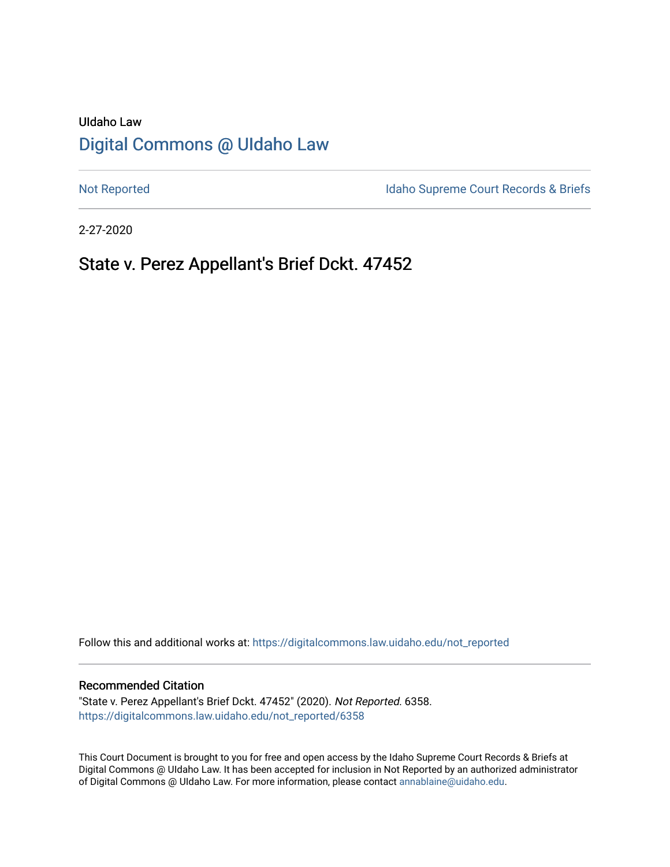# UIdaho Law [Digital Commons @ UIdaho Law](https://digitalcommons.law.uidaho.edu/)

[Not Reported](https://digitalcommons.law.uidaho.edu/not_reported) **Idaho Supreme Court Records & Briefs** 

2-27-2020

# State v. Perez Appellant's Brief Dckt. 47452

Follow this and additional works at: [https://digitalcommons.law.uidaho.edu/not\\_reported](https://digitalcommons.law.uidaho.edu/not_reported?utm_source=digitalcommons.law.uidaho.edu%2Fnot_reported%2F6358&utm_medium=PDF&utm_campaign=PDFCoverPages) 

### Recommended Citation

"State v. Perez Appellant's Brief Dckt. 47452" (2020). Not Reported. 6358. [https://digitalcommons.law.uidaho.edu/not\\_reported/6358](https://digitalcommons.law.uidaho.edu/not_reported/6358?utm_source=digitalcommons.law.uidaho.edu%2Fnot_reported%2F6358&utm_medium=PDF&utm_campaign=PDFCoverPages)

This Court Document is brought to you for free and open access by the Idaho Supreme Court Records & Briefs at Digital Commons @ UIdaho Law. It has been accepted for inclusion in Not Reported by an authorized administrator of Digital Commons @ UIdaho Law. For more information, please contact [annablaine@uidaho.edu](mailto:annablaine@uidaho.edu).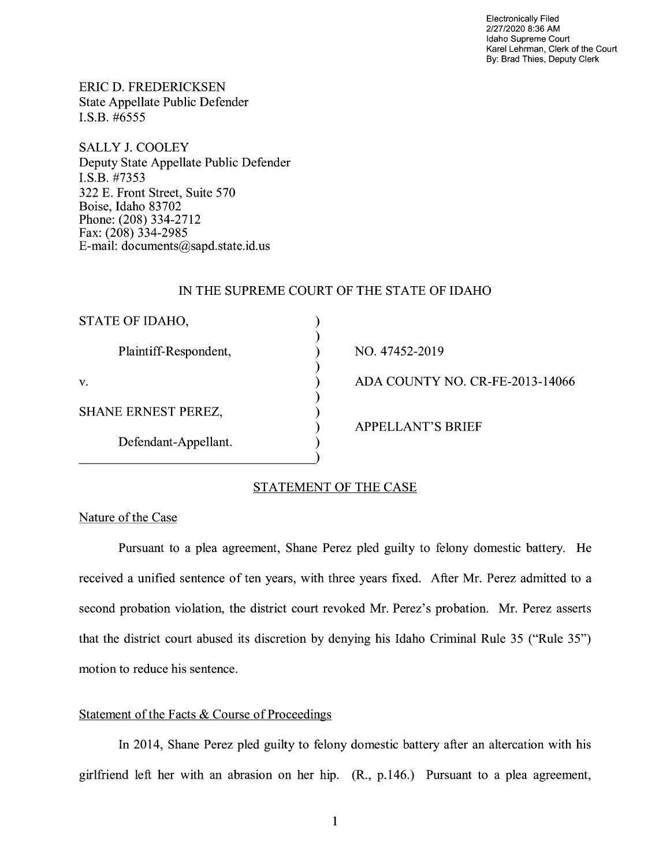Electronically Filed 2/27/2020 8:36 **AM**  Idaho Supreme Court Karel Lehrman, Clerk of the Court By: Brad Thies, Deputy Clerk

ERIC D. FREDERICKSEN State Appellate Public Defender I.S.B. #6555

SALLY J. COOLEY Deputy State Appellate Public Defender I.S.B. #7353 322 E. Front Street, Suite 570 Boise, Idaho 83702 Phone: (208) 334-2712 Fax: (208) 334-2985 E-mail: documents@sapd.state.id. us

# IN THE SUPREME COURT OF THE STATE OF IDAHO

| STATE OF IDAHO,            |                                 |
|----------------------------|---------------------------------|
| Plaintiff-Respondent,      | NO. 47452-2019                  |
| V.                         | ADA COUNTY NO. CR-FE-2013-14066 |
| <b>SHANE ERNEST PEREZ,</b> |                                 |
| Defendant-Appellant.       | <b>APPELLANT'S BRIEF</b>        |

## STATEMENT OF THE CASE

Nature of the Case

Pursuant to a plea agreement, Shane Perez pied guilty to felony domestic battery. He received a unified sentence of ten years, with three years fixed. After Mr. Perez admitted to a second probation violation, the district court revoked Mr. Perez's probation. Mr. Perez asserts that the district court abused its discretion by denying his Idaho Criminal Rule 35 ("Rule 35") motion to reduce his sentence.

# Statement of the Facts & Course of Proceedings

In 2014, Shane Perez pied guilty to felony domestic battery after an altercation with his girlfriend left her with an abrasion on her hip. (R., p.146.) Pursuant to a plea agreement,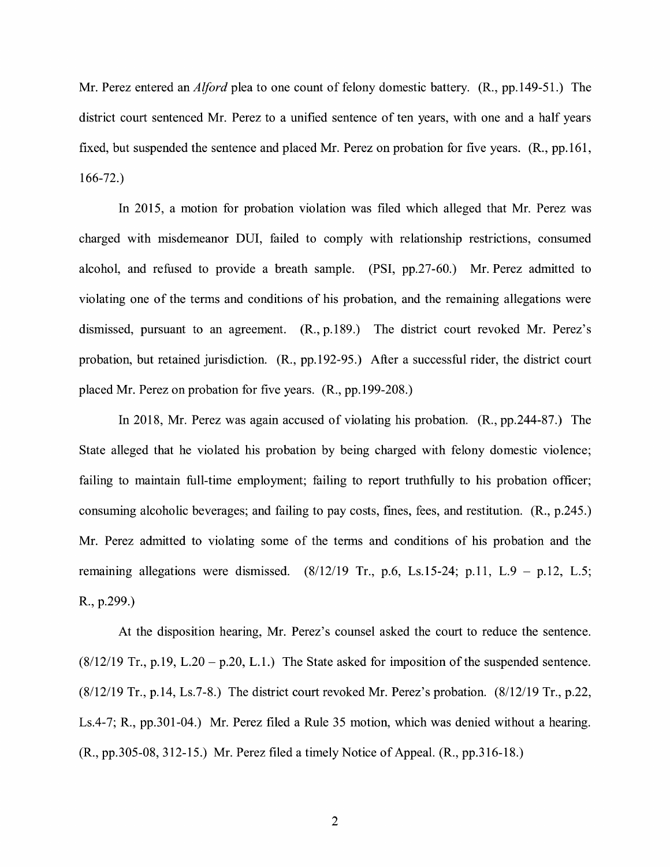Mr. Perez entered an *Alford* plea to one count of felony domestic battery. (R., pp.149-51.) The district court sentenced Mr. Perez to a unified sentence of ten years, with one and a half years fixed, but suspended the sentence and placed Mr. Perez on probation for five years. (R., pp.161, 166-72.)

In 2015, a motion for probation violation was filed which alleged that Mr. Perez was charged with misdemeanor DUI, failed to comply with relationship restrictions, consumed alcohol, and refused to provide a breath sample. (PSI, pp.27-60.) Mr. Perez admitted to violating one of the terms and conditions of his probation, and the remaining allegations were dismissed, pursuant to an agreement. (R., p.189.) The district court revoked Mr. Perez's probation, but retained jurisdiction. (R., pp.192-95.) After a successful rider, the district court placed Mr. Perez on probation for five years. (R., pp.199-208.)

In 2018, Mr. Perez was again accused of violating his probation. (R., pp.244-87.) The State alleged that he violated his probation by being charged with felony domestic violence; failing to maintain full-time employment; failing to report truthfully to his probation officer; consuming alcoholic beverages; and failing to pay costs, fines, fees, and restitution. (R., p.245.) Mr. Perez admitted to violating some of the terms and conditions of his probation and the remaining allegations were dismissed.  $(8/12/19$  Tr., p.6, Ls.15-24; p.11, L.9 – p.12, L.5; R., p.299.)

At the disposition hearing, Mr. Perez's counsel asked the court to reduce the sentence.  $(8/12/19$  Tr., p.19, L.20 – p.20, L.1.) The State asked for imposition of the suspended sentence. (8/12/19 Tr., p.14, Ls.7-8.) The district court revoked Mr. Perez's probation. (8/12/19 Tr., p.22, Ls.4-7; R., pp.301-04.) Mr. Perez filed a Rule 35 motion, which was denied without a hearing. (R., pp.305-08, 312-15.) Mr. Perez filed a timely Notice of Appeal. (R., pp.316-18.)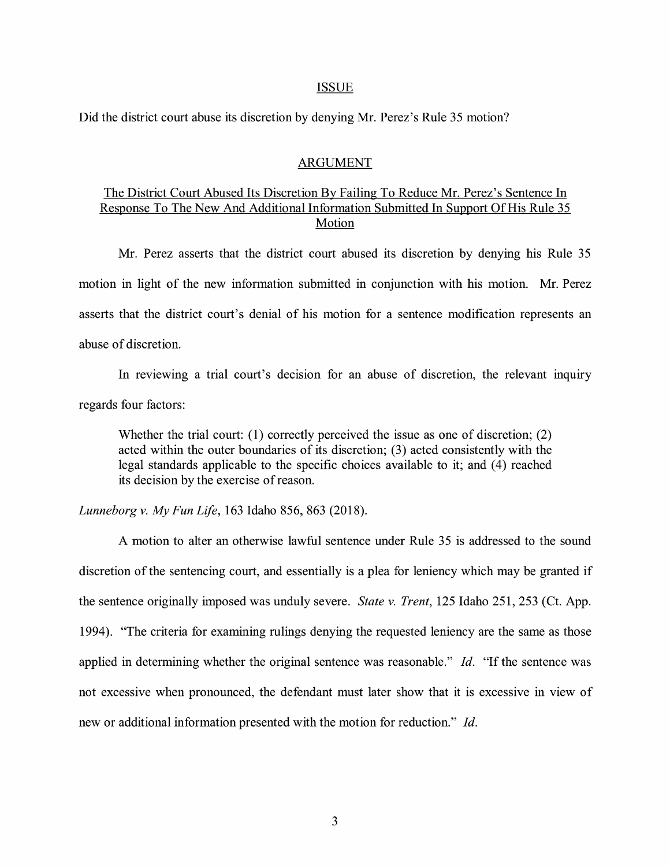#### ISSUE

Did the district court abuse its discretion by denying Mr. Perez's Rule 35 motion?

### ARGUMENT

# The District Court Abused Its Discretion By Failing To Reduce Mr. Perez's Sentence In Response To The New And Additional Information Submitted In Support Of His Rule 35 Motion

Mr. Perez asserts that the district court abused its discretion by denying his Rule 35 motion in light of the new information submitted in conjunction with his motion. Mr. Perez asserts that the district court's denial of his motion for a sentence modification represents an abuse of discretion.

In reviewing a trial court's decision for an abuse of discretion, the relevant inquiry regards four factors:

Whether the trial court: (1) correctly perceived the issue as one of discretion; (2) acted within the outer boundaries of its discretion; (3) acted consistently with the legal standards applicable to the specific choices available to it; and (4) reached its decision by the exercise of reason.

*Lunneborg v. My Fun Life,* 163 Idaho 856, 863 (2018).

A motion to alter an otherwise lawful sentence under Rule 35 is addressed to the sound discretion of the sentencing court, and essentially is a plea for leniency which may be granted if the sentence originally imposed was unduly severe. *State v. Trent,* 125 Idaho 251, 253 (Ct. App. 1994). "The criteria for examining rulings denying the requested leniency are the same as those applied in determining whether the original sentence was reasonable." Id. "If the sentence was not excessive when pronounced, the defendant must later show that it is excessive in view of new or additional information presented with the motion for reduction." *Id.*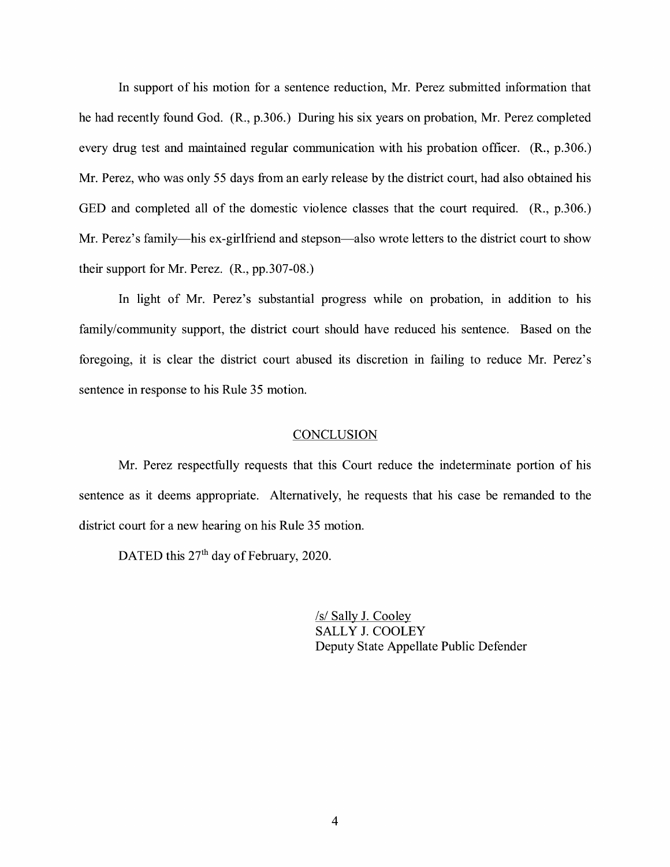In support of his motion for a sentence reduction, Mr. Perez submitted information that he had recently found God. (R., p.306.) During his six years on probation, Mr. Perez completed every drug test and maintained regular communication with his probation officer. (R., p.306.) Mr. Perez, who was only 55 days from an early release by the district court, had also obtained his GED and completed all of the domestic violence classes that the court required. (R., p.306.) Mr. Perez's family—his ex-girlfriend and stepson—also wrote letters to the district court to show their support for Mr. Perez. (R., pp.307-08.)

In light of Mr. Perez's substantial progress while on probation, in addition to his family/community support, the district court should have reduced his sentence. Based on the foregoing, it is clear the district court abused its discretion in failing to reduce Mr. Perez's sentence in response to his Rule 35 motion.

#### **CONCLUSION**

Mr. Perez respectfully requests that this Court reduce the indeterminate portion of his sentence as it deems appropriate. Alternatively, he requests that his case be remanded to the district court for a new hearing on his Rule 35 motion.

DATED this 27<sup>th</sup> day of February, 2020.

/s/ Sally J. Cooley SALLY J. COOLEY Deputy State Appellate Public Defender